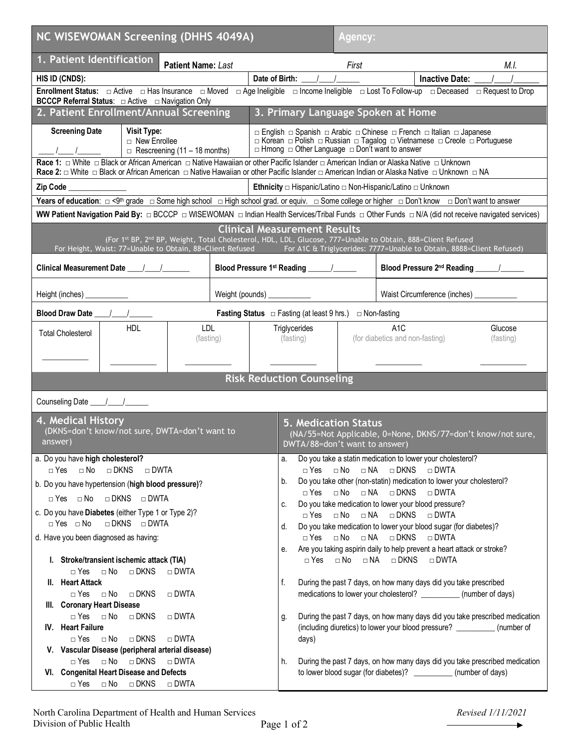| NC WISEWOMAN Screening (DHHS 4049A)                                                                                                                                                                                                                                                              |                  | Agency:                                                                                                                                                                                                                                                                                                                                                                                                                             |                                                                             |                                                     |                      |  |
|--------------------------------------------------------------------------------------------------------------------------------------------------------------------------------------------------------------------------------------------------------------------------------------------------|------------------|-------------------------------------------------------------------------------------------------------------------------------------------------------------------------------------------------------------------------------------------------------------------------------------------------------------------------------------------------------------------------------------------------------------------------------------|-----------------------------------------------------------------------------|-----------------------------------------------------|----------------------|--|
| 1. Patient Identification<br><b>Patient Name: Last</b>                                                                                                                                                                                                                                           |                  |                                                                                                                                                                                                                                                                                                                                                                                                                                     | First                                                                       |                                                     | M.I.                 |  |
| HIS ID (CNDS):                                                                                                                                                                                                                                                                                   |                  | Date of Birth: ____/____/______                                                                                                                                                                                                                                                                                                                                                                                                     |                                                                             | Inactive Date: __                                   |                      |  |
| Enrollment Status: □ Active □ Has Insurance □ Moved □ Age Ineligible □ Income Ineligible □ Lost To Follow-up □ Deceased □ Request to Drop<br><b>BCCCP Referral Status:</b> □ Active □ Navigation Only                                                                                            |                  |                                                                                                                                                                                                                                                                                                                                                                                                                                     |                                                                             |                                                     |                      |  |
| 2. Patient Enrollment/Annual Screening                                                                                                                                                                                                                                                           |                  | 3. Primary Language Spoken at Home                                                                                                                                                                                                                                                                                                                                                                                                  |                                                                             |                                                     |                      |  |
| <b>Screening Date</b><br><b>Visit Type:</b><br>□ New Enrollee<br>$\Box$ Rescreening (11 – 18 months)                                                                                                                                                                                             |                  | □ English □ Spanish □ Arabic □ Chinese □ French □ Italian □ Japanese<br>□ Korean □ Polish □ Russian □ Tagalog □ Vietnamese □ Creole □ Portuguese<br>$\Box$ Hmong $\Box$ Other Language $\Box$ Don't want to answer                                                                                                                                                                                                                  |                                                                             |                                                     |                      |  |
| Race 1: □ White □ Black or African American □ Native Hawaiian or other Pacific Islander □ American Indian or Alaska Native □ Unknown<br>Race 2: □ White □ Black or African American □ Native Hawaiian or other Pacific Islander □ American Indian or Alaska Native □ Unknown □ NA                |                  |                                                                                                                                                                                                                                                                                                                                                                                                                                     |                                                                             |                                                     |                      |  |
| Zip Code_                                                                                                                                                                                                                                                                                        |                  |                                                                                                                                                                                                                                                                                                                                                                                                                                     |                                                                             |                                                     |                      |  |
| Years of education: $\Box$ <9 <sup>th</sup> grade $\Box$ Some high school $\Box$ High school grad. or equiv. $\Box$ Some college or higher $\Box$ Don't know $\Box$ Don't want to answer                                                                                                         |                  |                                                                                                                                                                                                                                                                                                                                                                                                                                     |                                                                             |                                                     |                      |  |
| WW Patient Navigation Paid By: □ BCCCP □ WISEWOMAN □ Indian Health Services/Tribal Funds □ Other Funds □ N/A (did not receive navigated services)                                                                                                                                                |                  |                                                                                                                                                                                                                                                                                                                                                                                                                                     |                                                                             |                                                     |                      |  |
| <b>Clinical Measurement Results</b><br>(For 1st BP, 2 <sup>nd</sup> BP, Weight, Total Cholesterol, HDL, LDL, Glucose, 777=Unable to Obtain, 888=Client Refused<br>For Height, Waist: 77=Unable to Obtain, 88=Client Refused For A1C & Triglycerides: 7777=Unable to Obtain, 8888=Client Refused) |                  |                                                                                                                                                                                                                                                                                                                                                                                                                                     |                                                                             |                                                     |                      |  |
|                                                                                                                                                                                                                                                                                                  |                  |                                                                                                                                                                                                                                                                                                                                                                                                                                     |                                                                             |                                                     |                      |  |
| Height (inches) ____________                                                                                                                                                                                                                                                                     |                  | Weight (pounds) ____________                                                                                                                                                                                                                                                                                                                                                                                                        |                                                                             | Waist Circumference (inches)                        |                      |  |
| <b>Blood Draw Date</b><br><b>Fasting Status</b> $\Box$ Fasting (at least 9 hrs.) $\Box$ Non-fasting                                                                                                                                                                                              |                  |                                                                                                                                                                                                                                                                                                                                                                                                                                     |                                                                             |                                                     |                      |  |
| <b>HDL</b><br><b>Total Cholesterol</b>                                                                                                                                                                                                                                                           | LDL<br>(fasting) | Triglycerides<br>(fasting)                                                                                                                                                                                                                                                                                                                                                                                                          |                                                                             | A <sub>1</sub> C<br>(for diabetics and non-fasting) | Glucose<br>(fasting) |  |
|                                                                                                                                                                                                                                                                                                  |                  | <b>Risk Reduction Counseling</b>                                                                                                                                                                                                                                                                                                                                                                                                    |                                                                             |                                                     |                      |  |
|                                                                                                                                                                                                                                                                                                  |                  |                                                                                                                                                                                                                                                                                                                                                                                                                                     |                                                                             |                                                     |                      |  |
| 4. Medical History<br>(DKNS=don't know/not sure, DWTA=don't want to<br>answer)                                                                                                                                                                                                                   |                  | <b>5. Medication Status</b><br>(NA/55=Not Applicable, 0=None, DKNS/77=don't know/not sure,<br>DWTA/88=don't want to answer)                                                                                                                                                                                                                                                                                                         |                                                                             |                                                     |                      |  |
| a. Do you have high cholesterol?                                                                                                                                                                                                                                                                 |                  | Do you take a statin medication to lower your cholesterol?<br>a.                                                                                                                                                                                                                                                                                                                                                                    |                                                                             |                                                     |                      |  |
| $\Box$ Yes $\Box$ No $\Box$ DKNS<br>$\Box$ DWTA                                                                                                                                                                                                                                                  |                  | $\Box$ Yes $\Box$ No $\Box$ NA $\Box$ DKNS<br>$\Box$ DWTA<br>Do you take other (non-statin) medication to lower your cholesterol?<br>b.                                                                                                                                                                                                                                                                                             |                                                                             |                                                     |                      |  |
| b. Do you have hypertension (high blood pressure)?<br>□ Yes □ No □ DKNS □ DWTA                                                                                                                                                                                                                   |                  | $\Box$ No $\Box$ NA $\Box$ DKNS<br>$\Box$ DWTA<br>$\Box$ Yes<br>Do you take medication to lower your blood pressure?<br>C.                                                                                                                                                                                                                                                                                                          |                                                                             |                                                     |                      |  |
| c. Do you have Diabetes (either Type 1 or Type 2)?<br>$\Box$ Yes $\Box$ No<br>□ DKNS □ DWTA                                                                                                                                                                                                      |                  | $\Box$ No<br>$\Box$ NA<br>$\Box$ DKNS<br>$\Box$ DWTA<br>$\Box$ Yes                                                                                                                                                                                                                                                                                                                                                                  |                                                                             |                                                     |                      |  |
| d. Have you been diagnosed as having:                                                                                                                                                                                                                                                            |                  | Do you take medication to lower your blood sugar (for diabetes)?<br>d.<br>$\Box$ No $\Box$ NA<br>□ DKNS<br>$\Box$ Yes<br>$\Box$ DWTA<br>e. Are you taking aspirin daily to help prevent a heart attack or stroke?<br>$\Box$ No $\Box$ NA $\Box$ DKNS<br>$\Box$ DWTA<br>$\Box$ Yes<br>During the past 7 days, on how many days did you take prescribed<br>f.<br>medications to lower your cholesterol? ____________ (number of days) |                                                                             |                                                     |                      |  |
|                                                                                                                                                                                                                                                                                                  |                  |                                                                                                                                                                                                                                                                                                                                                                                                                                     |                                                                             |                                                     |                      |  |
| I. Stroke/transient ischemic attack (TIA)<br>$\Box$ DKNS<br>$\Box$ Yes<br>$\Box$ No<br>$\Box$ DWTA                                                                                                                                                                                               |                  |                                                                                                                                                                                                                                                                                                                                                                                                                                     |                                                                             |                                                     |                      |  |
| II. Heart Attack                                                                                                                                                                                                                                                                                 |                  |                                                                                                                                                                                                                                                                                                                                                                                                                                     |                                                                             |                                                     |                      |  |
| $\Box$ Yes<br>$\square$ No<br>$\Box$ DKNS<br>$\Box$ DWTA                                                                                                                                                                                                                                         |                  |                                                                                                                                                                                                                                                                                                                                                                                                                                     |                                                                             |                                                     |                      |  |
| III. Coronary Heart Disease<br>$\Box$ Yes<br>$\square$ No<br>$\Box$ DKNS<br>$\Box$ DWTA                                                                                                                                                                                                          |                  | During the past 7 days, on how many days did you take prescribed medication<br>g.                                                                                                                                                                                                                                                                                                                                                   |                                                                             |                                                     |                      |  |
| IV. Heart Failure                                                                                                                                                                                                                                                                                |                  | (including diuretics) to lower your blood pressure? ___________ (number of                                                                                                                                                                                                                                                                                                                                                          |                                                                             |                                                     |                      |  |
| $\Box$ No<br>$\Box$ DKNS<br>$\Box$ DWTA<br>$\Box$ Yes                                                                                                                                                                                                                                            |                  | days)                                                                                                                                                                                                                                                                                                                                                                                                                               |                                                                             |                                                     |                      |  |
| V. Vascular Disease (peripheral arterial disease)<br>$\Box$ No<br>$\Box$ DKNS<br>$\Box$ DWTA<br>$\Box$ Yes                                                                                                                                                                                       |                  | h.                                                                                                                                                                                                                                                                                                                                                                                                                                  | During the past 7 days, on how many days did you take prescribed medication |                                                     |                      |  |
| VI. Congenital Heart Disease and Defects<br>$\Box$ Yes<br>$\square$ No<br>$\Box$ DKNS<br>$\Box$ DWTA                                                                                                                                                                                             |                  | to lower blood sugar (for diabetes)? ____________ (number of days)                                                                                                                                                                                                                                                                                                                                                                  |                                                                             |                                                     |                      |  |